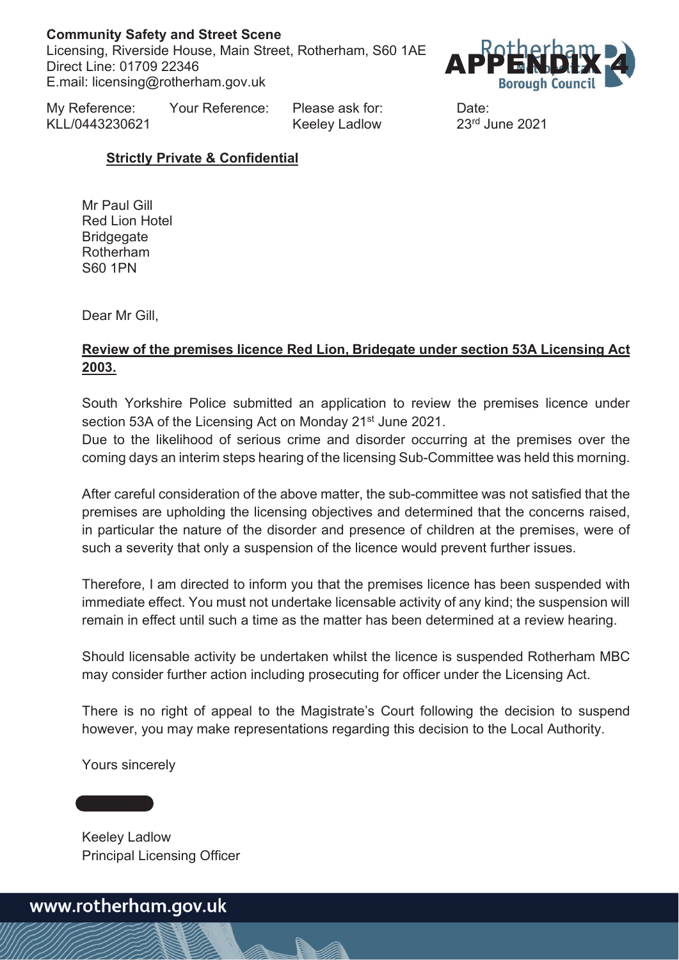### **Community Safety and Street Scene**

Licensing, Riverside House, Main Street, Rotherham, S60 1AE Direct Line: 01709 22346 E.mail: licensing@rotherham.gov.uk



My Reference: Your Reference: Please ask for: Date: KLL/0443230621 Keeley Ladlow 23rd June 2021

## **Strictly Private & Confidential**

Mr Paul Gill Red Lion Hotel **Bridgegate** Rotherham S60 1PN

Dear Mr Gill,

## **Review of the premises licence Red Lion, Bridegate under section 53A Licensing Act 2003.**

South Yorkshire Police submitted an application to review the premises licence under section 53A of the Licensing Act on Monday 21<sup>st</sup> June 2021.

Due to the likelihood of serious crime and disorder occurring at the premises over the coming days an interim steps hearing of the licensing Sub-Committee was held this morning.

After careful consideration of the above matter, the sub-committee was not satisfied that the premises are upholding the licensing objectives and determined that the concerns raised, in particular the nature of the disorder and presence of children at the premises, were of such a severity that only a suspension of the licence would prevent further issues.

Therefore, I am directed to inform you that the premises licence has been suspended with immediate effect. You must not undertake licensable activity of any kind; the suspension will remain in effect until such a time as the matter has been determined at a review hearing.

Should licensable activity be undertaken whilst the licence is suspended Rotherham MBC may consider further action including prosecuting for officer under the Licensing Act.

There is no right of appeal to the Magistrate's Court following the decision to suspend however, you may make representations regarding this decision to the Local Authority.

Yours sincerely

Keeley Ladlow Principal Licensing Officer

www.rotherham.gov.uk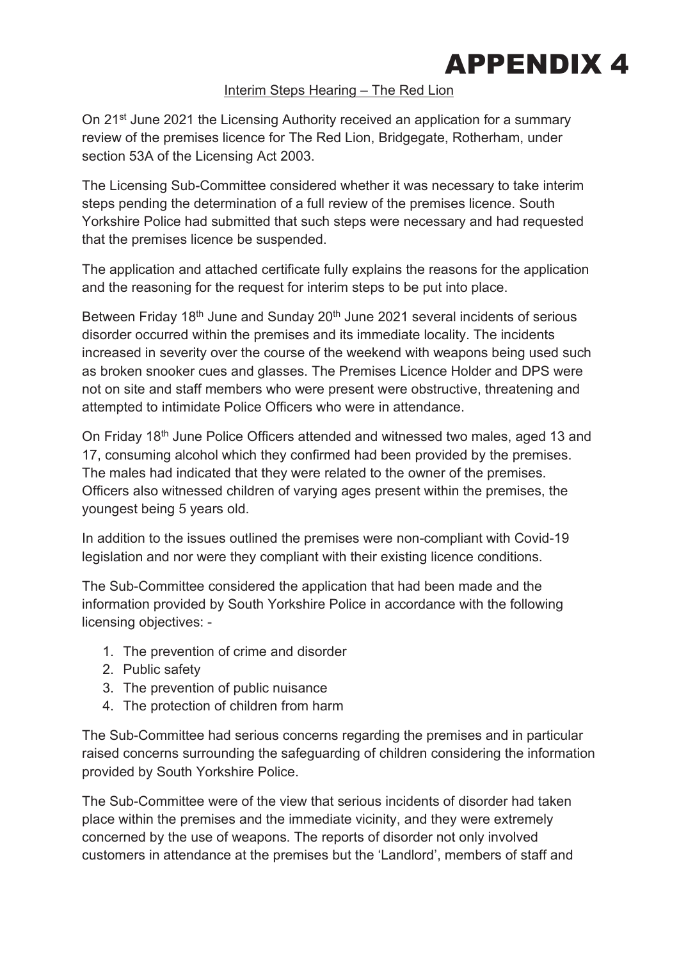

#### Interim Steps Hearing – The Red Lion

On 21<sup>st</sup> June 2021 the Licensing Authority received an application for a summary review of the premises licence for The Red Lion, Bridgegate, Rotherham, under section 53A of the Licensing Act 2003.

The Licensing Sub-Committee considered whether it was necessary to take interim steps pending the determination of a full review of the premises licence. South Yorkshire Police had submitted that such steps were necessary and had requested that the premises licence be suspended.

The application and attached certificate fully explains the reasons for the application and the reasoning for the request for interim steps to be put into place.

Between Friday 18<sup>th</sup> June and Sunday 20<sup>th</sup> June 2021 several incidents of serious disorder occurred within the premises and its immediate locality. The incidents increased in severity over the course of the weekend with weapons being used such as broken snooker cues and glasses. The Premises Licence Holder and DPS were not on site and staff members who were present were obstructive, threatening and attempted to intimidate Police Officers who were in attendance.

On Friday 18<sup>th</sup> June Police Officers attended and witnessed two males, aged 13 and 17, consuming alcohol which they confirmed had been provided by the premises. The males had indicated that they were related to the owner of the premises. Officers also witnessed children of varying ages present within the premises, the youngest being 5 years old.

In addition to the issues outlined the premises were non-compliant with Covid-19 legislation and nor were they compliant with their existing licence conditions.

The Sub-Committee considered the application that had been made and the information provided by South Yorkshire Police in accordance with the following licensing objectives: -

- 1. The prevention of crime and disorder
- 2. Public safety
- 3. The prevention of public nuisance
- 4. The protection of children from harm

The Sub-Committee had serious concerns regarding the premises and in particular raised concerns surrounding the safeguarding of children considering the information provided by South Yorkshire Police.

The Sub-Committee were of the view that serious incidents of disorder had taken place within the premises and the immediate vicinity, and they were extremely concerned by the use of weapons. The reports of disorder not only involved customers in attendance at the premises but the 'Landlord', members of staff and